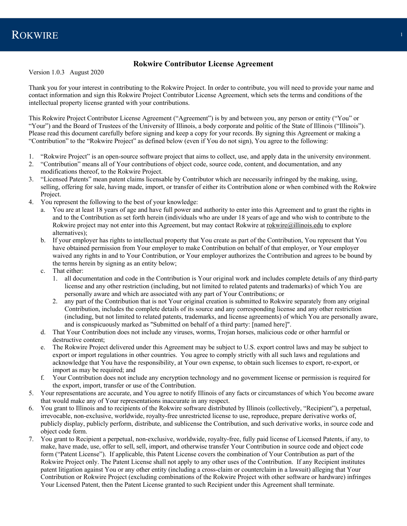## **Rokwire Contributor License Agreement**

Version 1.0.3 August 2020

Thank you for your interest in contributing to the Rokwire Project. In order to contribute, you will need to provide your name and contact information and sign this Rokwire Project Contributor License Agreement, which sets the terms and conditions of the intellectual property license granted with your contributions.

This Rokwire Project Contributor License Agreement ("Agreement") is by and between you, any person or entity ("You" or "Your") and the Board of Trustees of the University of Illinois, a body corporate and politic of the State of Illinois ("Illinois"). Please read this document carefully before signing and keep a copy for your records. By signing this Agreement or making a "Contribution" to the "Rokwire Project" as defined below (even if You do not sign), You agree to the following:

- 1. "Rokwire Project" is an open-source software project that aims to collect, use, and apply data in the university environment.
- 2. "Contribution" means all of Your contributions of object code, source code, content, and documentation, and any modifications thereof, to the Rokwire Project.
- 3. "Licensed Patents" mean patent claims licensable by Contributor which are necessarily infringed by the making, using, selling, offering for sale, having made, import, or transfer of either its Contribution alone or when combined with the Rokwire Project.
- 4. You represent the following to the best of your knowledge:
	- a. You are at least 18 years of age and have full power and authority to enter into this Agreement and to grant the rights in and to the Contribution as set forth herein (individuals who are under 18 years of age and who wish to contribute to the Rokwire project may not enter into this Agreement, but may contact Rokwire at rokwire@illinois.edu to explore alternatives);
	- b. If your employer has rights to intellectual property that You create as part of the Contribution, You represent that You have obtained permission from Your employer to make Contribution on behalf of that employer, or Your employer waived any rights in and to Your Contribution, or Your employer authorizes the Contribution and agrees to be bound by the terms herein by signing as an entity below;
	- c. That either:
		- 1. all documentation and code in the Contribution is Your original work and includes complete details of any third-party license and any other restriction (including, but not limited to related patents and trademarks) of which You are personally aware and which are associated with any part of Your Contributions; or
		- 2. any part of the Contribution that is not Your original creation is submitted to Rokwire separately from any original Contribution, includes the complete details of its source and any corresponding license and any other restriction (including, but not limited to related patents, trademarks, and license agreements) of which You are personally aware, and is conspicuously marked as "Submitted on behalf of a third party: [named here]".
	- d. That Your Contribution does not include any viruses, worms, Trojan horses, malicious code or other harmful or destructive content;
	- e. The Rokwire Project delivered under this Agreement may be subject to U.S. export control laws and may be subject to export or import regulations in other countries. You agree to comply strictly with all such laws and regulations and acknowledge that You have the responsibility, at Your own expense, to obtain such licenses to export, re-export, or import as may be required; and
	- f. Your Contribution does not include any encryption technology and no government license or permission is required for the export, import, transfer or use of the Contribution.
- 5. Your representations are accurate, and You agree to notify Illinois of any facts or circumstances of which You become aware that would make any of Your representations inaccurate in any respect.
- 6. You grant to Illinois and to recipients of the Rokwire software distributed by Illinois (collectively, "Recipient"), a perpetual, irrevocable, non-exclusive, worldwide, royalty-free unrestricted license to use, reproduce, prepare derivative works of, publicly display, publicly perform, distribute, and sublicense the Contribution, and such derivative works, in source code and object code form.
- 7. You grant to Recipient a perpetual, non-exclusive, worldwide, royalty-free, fully paid license of Licensed Patents, if any, to make, have made, use, offer to sell, sell, import, and otherwise transfer Your Contribution in source code and object code form ("Patent License"). If applicable, this Patent License covers the combination of Your Contribution as part of the Rokwire Project only. The Patent License shall not apply to any other uses of the Contribution. If any Recipient institutes patent litigation against You or any other entity (including a cross-claim or counterclaim in a lawsuit) alleging that Your Contribution or Rokwire Project (excluding combinations of the Rokwire Project with other software or hardware) infringes Your Licensed Patent, then the Patent License granted to such Recipient under this Agreement shall terminate.